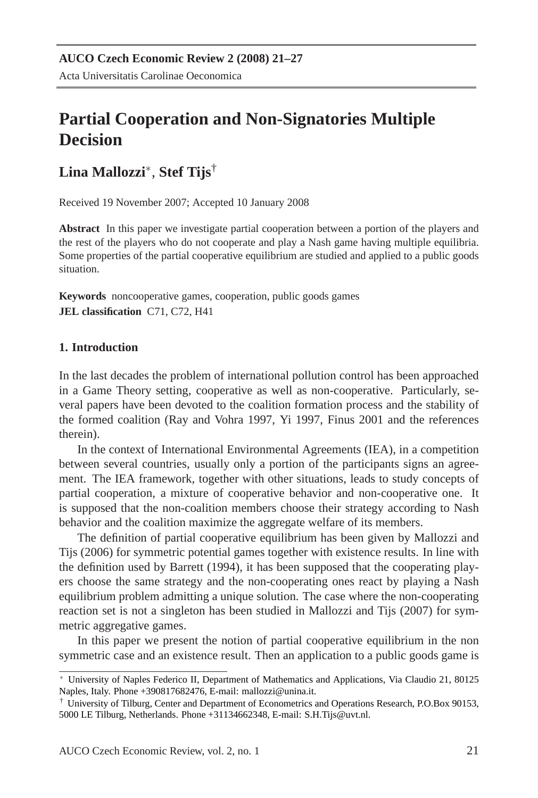# **Partial Cooperation and Non-Signatories Multiple Decision**

# **Lina Mallozzi**<sup>∗</sup> , **Stef Tijs**†

Received 19 November 2007; Accepted 10 January 2008

**Abstract** In this paper we investigate partial cooperation between a portion of the players and the rest of the players who do not cooperate and play a Nash game having multiple equilibria. Some properties of the partial cooperative equilibrium are studied and applied to a public goods situation.

**Keywords** noncooperative games, cooperation, public goods games **JEL classification** C71, C72, H41

## **1. Introduction**

In the last decades the problem of international pollution control has been approached in a Game Theory setting, cooperative as well as non-cooperative. Particularly, several papers have been devoted to the coalition formation process and the stability of the formed coalition (Ray and Vohra 1997, Yi 1997, Finus 2001 and the references therein).

In the context of International Environmental Agreements (IEA), in a competition between several countries, usually only a portion of the participants signs an agreement. The IEA framework, together with other situations, leads to study concepts of partial cooperation, a mixture of cooperative behavior and non-cooperative one. It is supposed that the non-coalition members choose their strategy according to Nash behavior and the coalition maximize the aggregate welfare of its members.

The definition of partial cooperative equilibrium has been given by Mallozzi and Tijs (2006) for symmetric potential games together with existence results. In line with the definition used by Barrett (1994), it has been supposed that the cooperating players choose the same strategy and the non-cooperating ones react by playing a Nash equilibrium problem admitting a unique solution. The case where the non-cooperating reaction set is not a singleton has been studied in Mallozzi and Tijs (2007) for symmetric aggregative games.

In this paper we present the notion of partial cooperative equilibrium in the non symmetric case and an existence result. Then an application to a public goods game is

<sup>∗</sup> University of Naples Federico II, Department of Mathematics and Applications, Via Claudio 21, 80125 Naples, Italy. Phone +390817682476, E-mail: mallozzi@unina.it.

<sup>†</sup> University of Tilburg, Center and Department of Econometrics and Operations Research, P.O.Box 90153, 5000 LE Tilburg, Netherlands. Phone +31134662348, E-mail: S.H.Tijs@uvt.nl.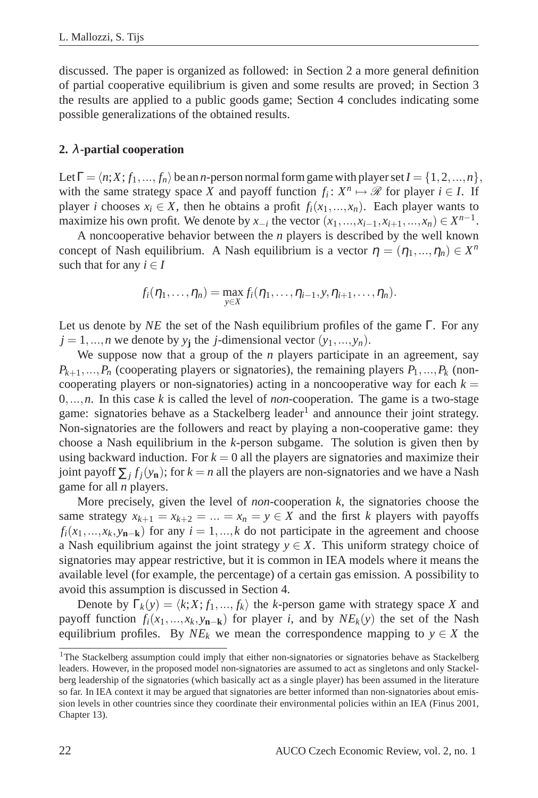discussed. The paper is organized as followed: in Section 2 a more general definition of partial cooperative equilibrium is given and some results are proved; in Section 3 the results are applied to a public goods game; Section 4 concludes indicating some possible generalizations of the obtained results.

#### **2.** λ**-partial cooperation**

Let  $\Gamma = \langle n; X; f_1, ..., f_n \rangle$  be an *n*-person normal form game with player set  $I = \{1, 2, ..., n\}$ , with the same strategy space *X* and payoff function  $f_i: X^n \mapsto \mathcal{R}$  for player  $i \in I$ . If player *i* chooses  $x_i \in X$ , then he obtains a profit  $f_i(x_1, \ldots, x_n)$ . Each player wants to maximize his own profit. We denote by  $x_{-i}$  the vector  $(x_1, ..., x_{i-1}, x_{i+1}, ..., x_n) \in X^{n-1}$ .

A noncooperative behavior between the *n* players is described by the well known concept of Nash equilibrium. A Nash equilibrium is a vector  $\eta = (\eta_1, ..., \eta_n) \in X^n$ such that for any  $i \in I$ 

$$
f_i(\eta_1,\ldots,\eta_n)=\max_{y\in X}f_i(\eta_1,\ldots,\eta_{i-1},y,\eta_{i+1},\ldots,\eta_n).
$$

Let us denote by *NE* the set of the Nash equilibrium profiles of the game Γ. For any  $j = 1, \ldots, n$  we denote by  $y_j$  the *j*-dimensional vector  $(y_1, \ldots, y_n)$ .

We suppose now that a group of the *n* players participate in an agreement, say  $P_{k+1},...,P_n$  (cooperating players or signatories), the remaining players  $P_1,...,P_k$  (noncooperating players or non-signatories) acting in a noncooperative way for each  $k =$ 0,...,*n*. In this case *k* is called the level of *non*-cooperation. The game is a two-stage game: signatories behave as a Stackelberg leader<sup>1</sup> and announce their joint strategy. Non-signatories are the followers and react by playing a non-cooperative game: they choose a Nash equilibrium in the *k*-person subgame. The solution is given then by using backward induction. For  $k = 0$  all the players are signatories and maximize their joint payoff  $\sum_j f_j(y_n)$ ; for  $k = n$  all the players are non-signatories and we have a Nash game for all *n* players.

More precisely, given the level of *non*-cooperation *k*, the signatories choose the same strategy  $x_{k+1} = x_{k+2} = ... = x_n = y \in X$  and the first *k* players with payoffs  $f_i(x_1,...,x_k,y_{n-k})$  for any  $i = 1,...,k$  do not participate in the agreement and choose a Nash equilibrium against the joint strategy  $y \in X$ . This uniform strategy choice of signatories may appear restrictive, but it is common in IEA models where it means the available level (for example, the percentage) of a certain gas emission. A possibility to avoid this assumption is discussed in Section 4.

Denote by  $\Gamma_k(y) = \langle k; X; f_1, ..., f_k \rangle$  the *k*-person game with strategy space *X* and payoff function  $f_i(x_1,...,x_k,y_{n-k})$  for player *i*, and by  $NE_k(y)$  the set of the Nash equilibrium profiles. By  $NE_k$  we mean the correspondence mapping to  $y \in X$  the

<sup>&</sup>lt;sup>1</sup>The Stackelberg assumption could imply that either non-signatories or signatories behave as Stackelberg leaders. However, in the proposed model non-signatories are assumed to act as singletons and only Stackelberg leadership of the signatories (which basically act as a single player) has been assumed in the literature so far. In IEA context it may be argued that signatories are better informed than non-signatories about emission levels in other countries since they coordinate their environmental policies within an IEA (Finus 2001, Chapter 13).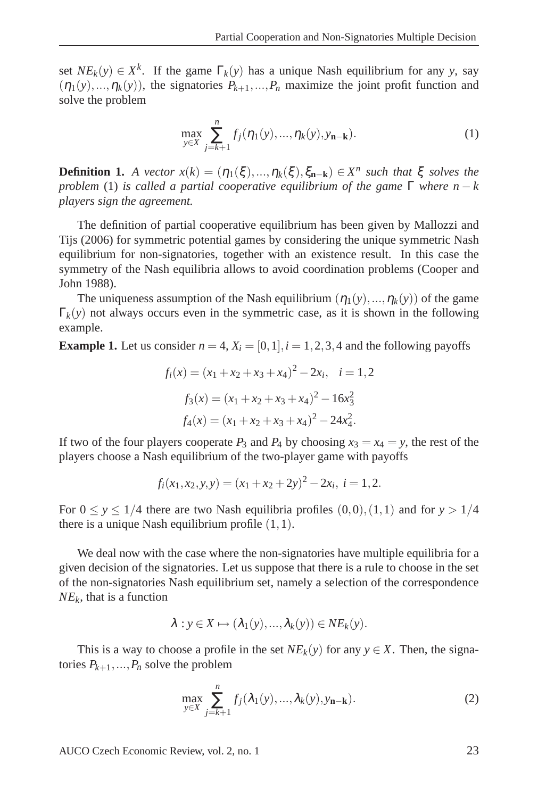set  $NE_k(y) \in X^k$ . If the game  $\Gamma_k(y)$  has a unique Nash equilibrium for any *y*, say  $(\eta_1(y),...,\eta_k(y))$ , the signatories  $P_{k+1},...,P_n$  maximize the joint profit function and solve the problem

$$
\max_{y \in X} \sum_{j=k+1}^{n} f_j(\eta_1(y), ..., \eta_k(y), y_{n-k}).
$$
\n(1)

**Definition 1.** *A vector*  $x(k) = (\eta_1(\xi), ..., \eta_k(\xi), \xi_{n-k}) \in X^n$  such that  $\xi$  solves the *problem* (1) *is called a partial cooperative equilibrium of the game*  $\Gamma$  *where*  $n - k$ *players sign the agreement.*

The definition of partial cooperative equilibrium has been given by Mallozzi and Tijs (2006) for symmetric potential games by considering the unique symmetric Nash equilibrium for non-signatories, together with an existence result. In this case the symmetry of the Nash equilibria allows to avoid coordination problems (Cooper and John 1988).

The uniqueness assumption of the Nash equilibrium  $(\eta_1(y),...,\eta_k(y))$  of the game  $\Gamma_k(y)$  not always occurs even in the symmetric case, as it is shown in the following example.

**Example 1.** Let us consider  $n = 4$ ,  $X_i = [0, 1]$ ,  $i = 1, 2, 3, 4$  and the following payoffs

$$
f_i(x) = (x_1 + x_2 + x_3 + x_4)^2 - 2x_i, \quad i = 1, 2
$$

$$
f_3(x) = (x_1 + x_2 + x_3 + x_4)^2 - 16x_3^2
$$

$$
f_4(x) = (x_1 + x_2 + x_3 + x_4)^2 - 24x_4^2.
$$

If two of the four players cooperate  $P_3$  and  $P_4$  by choosing  $x_3 = x_4 = y$ , the rest of the players choose a Nash equilibrium of the two-player game with payoffs

$$
f_i(x_1, x_2, y, y) = (x_1 + x_2 + 2y)^2 - 2x_i, \ i = 1, 2.
$$

For  $0 \le y \le 1/4$  there are two Nash equilibria profiles  $(0,0), (1,1)$  and for  $y > 1/4$ there is a unique Nash equilibrium profile  $(1,1)$ .

We deal now with the case where the non-signatories have multiple equilibria for a given decision of the signatories. Let us suppose that there is a rule to choose in the set of the non-signatories Nash equilibrium set, namely a selection of the correspondence *NE<sup>k</sup>* , that is a function

$$
\lambda: y \in X \mapsto (\lambda_1(y), ..., \lambda_k(y)) \in NE_k(y).
$$

This is a way to choose a profile in the set  $NE_k(y)$  for any  $y \in X$ . Then, the signatories  $P_{k+1},...,P_n$  solve the problem

$$
\max_{y \in X} \sum_{j=k+1}^{n} f_j(\lambda_1(y), \dots, \lambda_k(y), y_{\mathbf{n}-\mathbf{k}}). \tag{2}
$$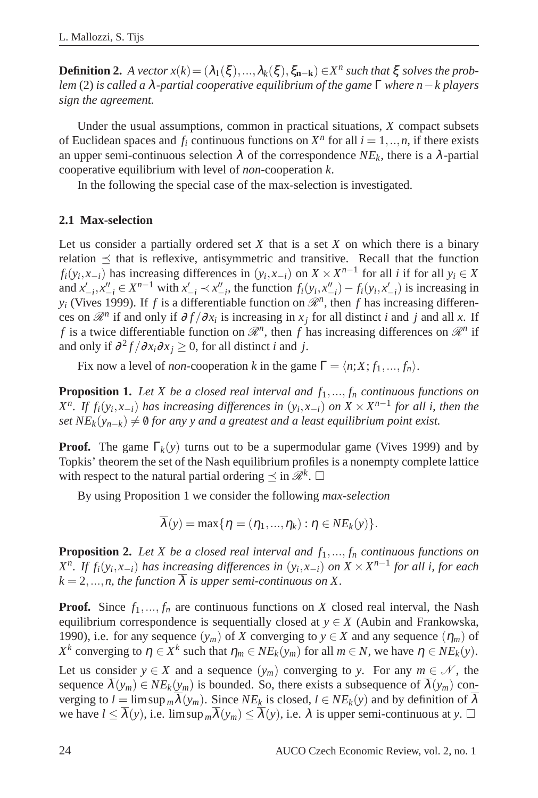**Definition 2.** *A vector*  $x(k) = (\lambda_1(\xi), ..., \lambda_k(\xi), \xi_{n-k}) \in X^n$  such that  $\xi$  solves the prob*lem* (2) *is called a* λ*-partial cooperative equilibrium of the game* Γ *where n*−*k players sign the agreement.*

Under the usual assumptions, common in practical situations, *X* compact subsets of Euclidean spaces and  $f_i$  continuous functions on  $X^n$  for all  $i = 1, ..., n$ , if there exists an upper semi-continuous selection  $\lambda$  of the correspondence  $NE_k$ , there is a  $\lambda$ -partial cooperative equilibrium with level of *non*-cooperation *k*.

In the following the special case of the max-selection is investigated.

#### **2.1 Max-selection**

Let us consider a partially ordered set *X* that is a set *X* on which there is a binary relation  $\preceq$  that is reflexive, antisymmetric and transitive. Recall that the function  $f_i(y_i, x_{-i})$  has increasing differences in  $(y_i, x_{-i})$  on  $X \times X^{n-1}$  for all *i* if for all  $y_i \in X$ and  $x'_{-i}, x''_{-i} \in X^{n-1}$  with  $x'_{-i} \prec x''_{-i}$ , the function  $f_i(y_i, x''_{-i}) - f_i(y_i, x'_{-i})$  is increasing in  $y_i$  (Vives 1999). If *f* is a differentiable function on  $\mathcal{R}^n$ , then *f* has increasing differences on  $\mathcal{R}^n$  if and only if  $\partial f / \partial x_i$  is increasing in  $x_j$  for all distinct *i* and *j* and all *x*. If *f* is a twice differentiable function on  $\mathcal{R}^n$ , then *f* has increasing differences on  $\mathcal{R}^n$  if and only if  $\partial^2 f / \partial x_i \partial x_j \ge 0$ , for all distinct *i* and *j*.

Fix now a level of *non*-cooperation *k* in the game  $\Gamma = \langle n; X; f_1, ..., f_n \rangle$ .

**Proposition 1.** *Let X be a closed real interval and f*1,..., *f<sup>n</sup> continuous functions on X*<sup>*n*</sup>. If  $f_i(y_i, x_{-i})$  has increasing differences in  $(y_i, x_{-i})$  on  $X \times X^{n-1}$  for all i, then the *set*  $NE_k(y_{n-k}) \neq \emptyset$  *for any y and a greatest and a least equilibrium point exist.* 

**Proof.** The game  $\Gamma_k(y)$  turns out to be a supermodular game (Vives 1999) and by Topkis' theorem the set of the Nash equilibrium profiles is a nonempty complete lattice with respect to the natural partial ordering  $\leq$  in  $\mathcal{R}^k$ .

By using Proposition 1 we consider the following *max-selection*

$$
\lambda(y) = \max\{\eta = (\eta_1, ..., \eta_k) : \eta \in NE_k(y)\}.
$$

**Proposition 2.** Let X be a closed real interval and  $f_1, ..., f_n$  continuous functions on *X*<sup>n</sup>. If  $f_i(y_i, x_{-i})$  has increasing differences in  $(y_i, x_{-i})$  on  $X \times X^{n-1}$  for all i, for each  $k = 2, \ldots, n$ , the function  $\overline{\lambda}$  *is upper semi-continuous on X.* 

**Proof.** Since  $f_1, \ldots, f_n$  are continuous functions on *X* closed real interval, the Nash equilibrium correspondence is sequentially closed at  $y \in X$  (Aubin and Frankowska, 1990), i.e. for any sequence  $(y_m)$  of *X* converging to  $y \in X$  and any sequence  $(\eta_m)$  of *X*<sup>*k*</sup> converging to  $\eta \in X^k$  such that  $\eta_m \in NE_k(y_m)$  for all  $m \in N$ , we have  $\eta \in NE_k(y)$ .

Let us consider  $y \in X$  and a sequence  $(y_m)$  converging to *y*. For any  $m \in \mathcal{N}$ , the sequence  $\overline{\lambda}(y_m) \in NE_k(y_m)$  is bounded. So, there exists a subsequence of  $\overline{\lambda}(y_m)$  converging to  $l = \limsup_{m} \lambda(y_m)$ . Since  $NE_k$  is closed,  $l \in NE_k(y)$  and by definition of  $\lambda$ we have  $l \leq \overline{\lambda}(y)$ , i.e.  $\limsup_{m} \overline{\lambda}(y_m) \leq \overline{\lambda}(y)$ , i.e.  $\lambda$  is upper semi-continuous at  $y$ .  $\Box$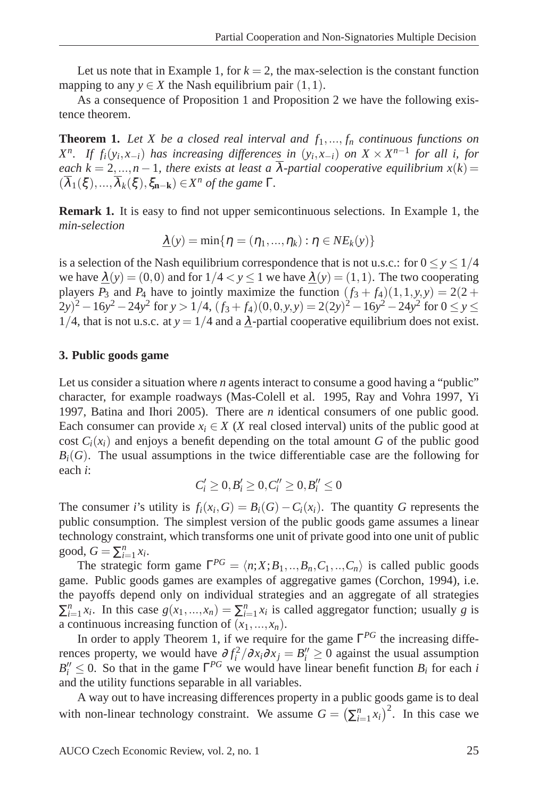Let us note that in Example 1, for  $k = 2$ , the max-selection is the constant function mapping to any  $y \in X$  the Nash equilibrium pair  $(1,1)$ .

As a consequence of Proposition 1 and Proposition 2 we have the following existence theorem.

**Theorem 1.** Let X be a closed real interval and  $f_1, \ldots, f_n$  continuous functions on *X*<sup>n</sup>. If  $f_i(y_i, x_{-i})$  has increasing differences in  $(y_i, x_{-i})$  on  $X \times X^{n-1}$  for all i, for *each*  $k = 2,...,n-1$ , there exists at least a  $\overline{\lambda}$ -partial cooperative equilibrium  $x(k) =$  $(\overline{\lambda}_1(\xi), ..., \overline{\lambda}_k(\xi), \xi_{\mathbf{n}-\mathbf{k}}) \in X^n$  *of the game*  $\Gamma$ *.* 

**Remark 1.** It is easy to find not upper semicontinuous selections. In Example 1, the *min-selection*

$$
\underline{\lambda}(y) = \min\{\eta = (\eta_1, ..., \eta_k) : \eta \in NE_k(y)\}
$$

is a selection of the Nash equilibrium correspondence that is not u.s.c.: for  $0 \le y \le 1/4$ we have  $\lambda(y) = (0,0)$  and for  $1/4 < y \le 1$  we have  $\lambda(y) = (1,1)$ . The two cooperating players  $P_3$  and  $P_4$  have to jointly maximize the function  $(f_3 + f_4)(1,1,y,y) = 2(2 +$  $(2y)^2 - 16y^2 - 24y^2$  for  $y > 1/4$ ,  $(f_3 + f_4)(0, 0, y, y) = 2(2y)^2 - 16y^2 - 24y^2$  for  $0 \le y \le 2$ 1/4, that is not u.s.c. at  $y = 1/4$  and a  $\lambda$ -partial cooperative equilibrium does not exist.

#### **3. Public goods game**

Let us consider a situation where *n* agents interact to consume a good having a "public" character, for example roadways (Mas-Colell et al. 1995, Ray and Vohra 1997, Yi 1997, Batina and Ihori 2005). There are *n* identical consumers of one public good. Each consumer can provide  $x_i \in X$  (*X* real closed interval) units of the public good at cost  $C_i(x_i)$  and enjoys a benefit depending on the total amount G of the public good  $B_i(G)$ . The usual assumptions in the twice differentiable case are the following for each *i*:

$$
C'_i\geq 0, B'_i\geq 0, C''_i\geq 0, B''_i\leq 0
$$

The consumer *i*'s utility is  $f_i(x_i, G) = B_i(G) - C_i(x_i)$ . The quantity *G* represents the public consumption. The simplest version of the public goods game assumes a linear technology constraint, which transforms one unit of private good into one unit of public good,  $G = \sum_{i=1}^{n} x_i$ .

The strategic form game  $\Gamma^{PG} = \langle n; X; B_1, ..., B_n, C_1, ..., C_n \rangle$  is called public goods game. Public goods games are examples of aggregative games (Corchon, 1994), i.e. the payoffs depend only on individual strategies and an aggregate of all strategies  $\sum_{i=1}^{n} x_i$ . In this case  $g(x_1,...,x_n) = \sum_{i=1}^{n} x_i$  is called aggregator function; usually *g* is a continuous increasing function of  $(x_1,...,x_n)$ .

In order to apply Theorem 1, if we require for the game Γ *PG* the increasing differences property, we would have  $\frac{\partial f_i^2}{\partial x_i \partial x_j} = B_i'' \ge 0$  against the usual assumption  $B_i'' \leq 0$ . So that in the game  $\Gamma^{PG}$  we would have linear benefit function  $B_i$  for each *i* and the utility functions separable in all variables.

A way out to have increasing differences property in a public goods game is to deal with non-linear technology constraint. We assume  $G = (\sum_{i=1}^{n} x_i)^2$ . In this case we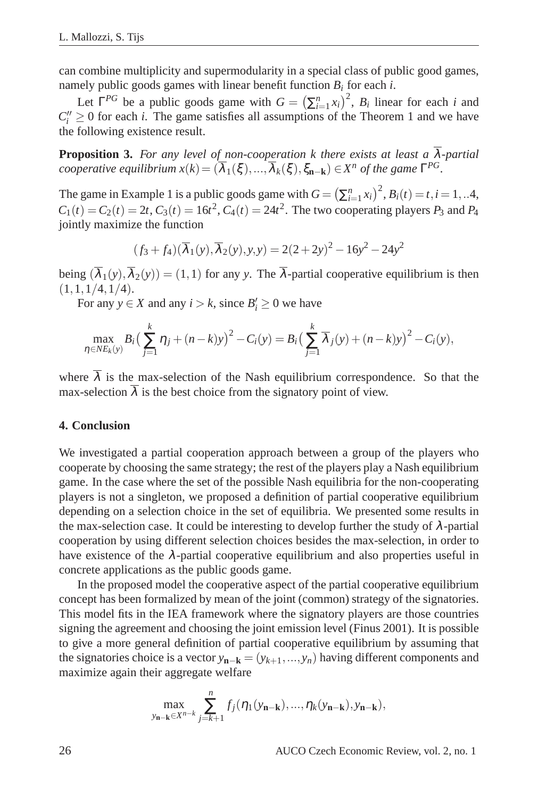can combine multiplicity and supermodularity in a special class of public good games, namely public goods games with linear benefit function *B<sup>i</sup>* for each *i*.

Let  $\Gamma^{PG}$  be a public goods game with  $G = (\sum_{i=1}^{n} x_i)^2$ ,  $B_i$  linear for each *i* and  $C_i'' \geq 0$  for each *i*. The game satisfies all assumptions of the Theorem 1 and we have the following existence result.

**Proposition 3.** *For any level of non-cooperation k there exists at least a* λ*-partial cooperative equilibrium*  $x(k) = (\overline{\lambda}_1(\xi), ..., \overline{\lambda}_k(\xi), \xi_{\mathbf{n}-\mathbf{k}}) \in X^n$  of the game  $\Gamma^{PG}$ .

The game in Example 1 is a public goods game with  $G = (\sum_{i=1}^{n} x_i)^2$ ,  $B_i(t) = t, i = 1, ...4$ ,  $C_1(t) = C_2(t) = 2t$ ,  $C_3(t) = 16t^2$ ,  $C_4(t) = 24t^2$ . The two cooperating players  $P_3$  and  $P_4$ jointly maximize the function

$$
(f_3 + f_4)(\overline{\lambda}_1(y), \overline{\lambda}_2(y), y, y) = 2(2 + 2y)^2 - 16y^2 - 24y^2
$$

being  $(\overline{\lambda}_1(y), \overline{\lambda}_2(y)) = (1,1)$  for any *y*. The  $\overline{\lambda}$ -partial cooperative equilibrium is then  $(1,1,1/4,1/4).$ 

For any  $y \in X$  and any  $i > k$ , since  $B'_i \ge 0$  we have

$$
\max_{\eta \in NE_k(y)} B_i \left( \sum_{j=1}^k \eta_j + (n-k)y \right)^2 - C_i(y) = B_i \left( \sum_{j=1}^k \overline{\lambda}_j(y) + (n-k)y \right)^2 - C_i(y),
$$

where  $\overline{\lambda}$  is the max-selection of the Nash equilibrium correspondence. So that the max-selection  $\overline{\lambda}$  is the best choice from the signatory point of view.

#### **4. Conclusion**

We investigated a partial cooperation approach between a group of the players who cooperate by choosing the same strategy; the rest of the players play a Nash equilibrium game. In the case where the set of the possible Nash equilibria for the non-cooperating players is not a singleton, we proposed a definition of partial cooperative equilibrium depending on a selection choice in the set of equilibria. We presented some results in the max-selection case. It could be interesting to develop further the study of  $\lambda$ -partial cooperation by using different selection choices besides the max-selection, in order to have existence of the  $\lambda$ -partial cooperative equilibrium and also properties useful in concrete applications as the public goods game.

In the proposed model the cooperative aspect of the partial cooperative equilibrium concept has been formalized by mean of the joint (common) strategy of the signatories. This model fits in the IEA framework where the signatory players are those countries signing the agreement and choosing the joint emission level (Finus 2001). It is possible to give a more general definition of partial cooperative equilibrium by assuming that the signatories choice is a vector  $y_{n-k} = (y_{k+1},..., y_n)$  having different components and maximize again their aggregate welfare

$$
\max_{y_{\mathbf{n}-\mathbf{k}} \in X^{n-k}} \sum_{j=k+1}^n f_j(\eta_1(y_{\mathbf{n}-\mathbf{k}}),..., \eta_k(y_{\mathbf{n}-\mathbf{k}}), y_{\mathbf{n}-\mathbf{k}}),
$$